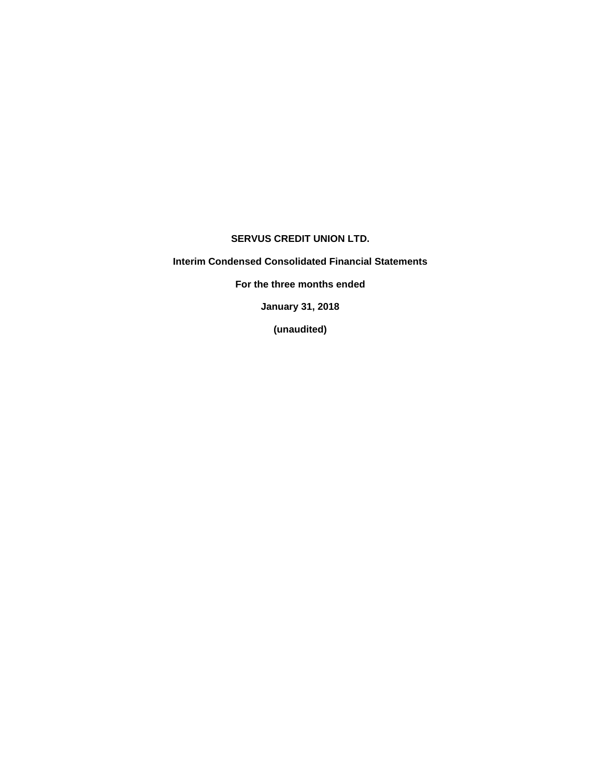# **SERVUS CREDIT UNION LTD.**

**Interim Condensed Consolidated Financial Statements**

**For the three months ended**

**January 31, 2018**

**(unaudited)**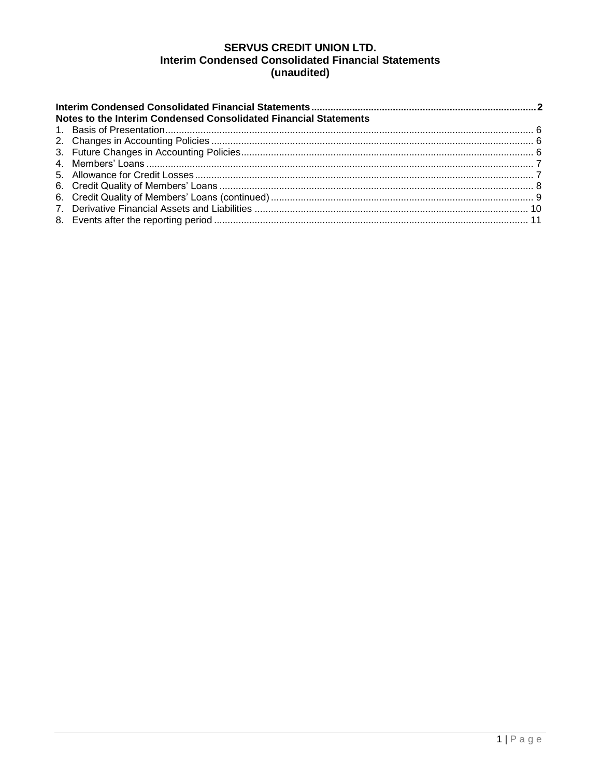# **SERVUS CREDIT UNION LTD. Interim Condensed Consolidated Financial Statements** (unaudited)

| Notes to the Interim Condensed Consolidated Financial Statements |  |
|------------------------------------------------------------------|--|
|                                                                  |  |
|                                                                  |  |
|                                                                  |  |
|                                                                  |  |
|                                                                  |  |
|                                                                  |  |
|                                                                  |  |
|                                                                  |  |
|                                                                  |  |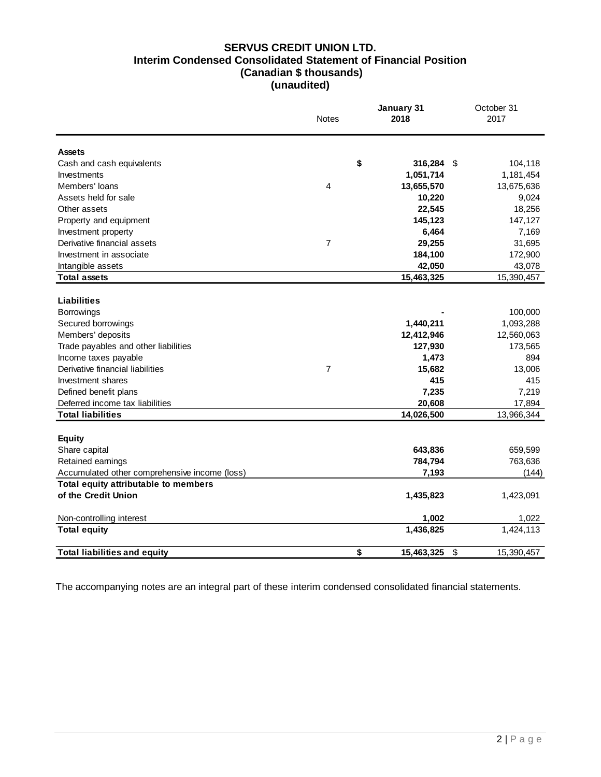### **SERVUS CREDIT UNION LTD. Interim Condensed Consolidated Statement of Financial Position (Canadian \$ thousands) (unaudited)**

|                                                                                                                                                                                                                                                                  | <b>Notes</b>   | January 31<br>2018                                                              | October 31<br>2017                                                                       |
|------------------------------------------------------------------------------------------------------------------------------------------------------------------------------------------------------------------------------------------------------------------|----------------|---------------------------------------------------------------------------------|------------------------------------------------------------------------------------------|
| <b>Assets</b>                                                                                                                                                                                                                                                    |                |                                                                                 |                                                                                          |
| Cash and cash equivalents                                                                                                                                                                                                                                        | \$             | 316,284                                                                         | \$<br>104,118                                                                            |
| Investments                                                                                                                                                                                                                                                      |                | 1,051,714                                                                       | 1,181,454                                                                                |
| Members' loans                                                                                                                                                                                                                                                   | 4              | 13,655,570                                                                      | 13,675,636                                                                               |
| Assets held for sale                                                                                                                                                                                                                                             |                | 10,220                                                                          | 9,024                                                                                    |
| Other assets                                                                                                                                                                                                                                                     |                | 22,545                                                                          | 18,256                                                                                   |
| Property and equipment                                                                                                                                                                                                                                           |                | 145,123                                                                         | 147,127                                                                                  |
| Investment property                                                                                                                                                                                                                                              |                | 6,464                                                                           | 7,169                                                                                    |
| Derivative financial assets                                                                                                                                                                                                                                      | $\overline{7}$ | 29,255                                                                          | 31,695                                                                                   |
| Investment in associate                                                                                                                                                                                                                                          |                | 184,100                                                                         | 172,900                                                                                  |
| Intangible assets                                                                                                                                                                                                                                                |                | 42,050                                                                          | 43,078                                                                                   |
| <b>Total assets</b>                                                                                                                                                                                                                                              |                | 15,463,325                                                                      | 15,390,457                                                                               |
| Liabilities<br><b>Borrowings</b><br>Secured borrowings<br>Members' deposits<br>Trade payables and other liabilities<br>Income taxes payable<br>Derivative financial liabilities<br>Investment shares<br>Defined benefit plans<br>Deferred income tax liabilities | $\overline{7}$ | 1,440,211<br>12,412,946<br>127,930<br>1,473<br>15,682<br>415<br>7,235<br>20,608 | 100,000<br>1,093,288<br>12,560,063<br>173,565<br>894<br>13,006<br>415<br>7,219<br>17,894 |
| <b>Total liabilities</b>                                                                                                                                                                                                                                         |                | 14,026,500                                                                      | 13,966,344                                                                               |
| <b>Equity</b><br>Share capital<br>Retained earnings<br>Accumulated other comprehensive income (loss)                                                                                                                                                             |                | 643,836<br>784,794<br>7,193                                                     | 659,599<br>763,636<br>(144)                                                              |
| Total equity attributable to members                                                                                                                                                                                                                             |                |                                                                                 |                                                                                          |
| of the Credit Union                                                                                                                                                                                                                                              |                | 1,435,823                                                                       | 1,423,091                                                                                |
| Non-controlling interest                                                                                                                                                                                                                                         |                | 1,002                                                                           | 1,022                                                                                    |
| <b>Total equity</b>                                                                                                                                                                                                                                              |                | 1,436,825                                                                       | 1,424,113                                                                                |
| <b>Total liabilities and equity</b>                                                                                                                                                                                                                              | \$             | 15.463.325                                                                      | \$<br>15,390,457                                                                         |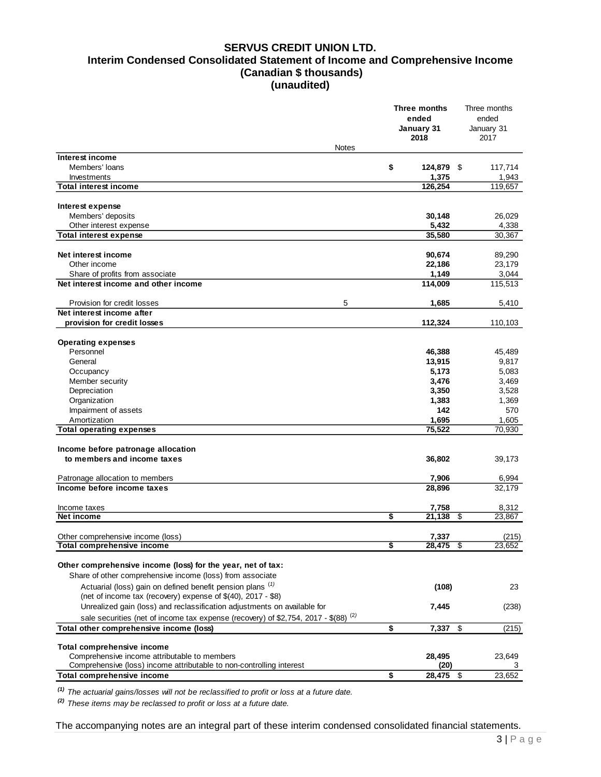### **SERVUS CREDIT UNION LTD. Interim Condensed Consolidated Statement of Income and Comprehensive Income (Canadian \$ thousands) (unaudited)**

|                                                                                                |              | Three months       | Three months       |
|------------------------------------------------------------------------------------------------|--------------|--------------------|--------------------|
|                                                                                                |              | ended              | ended              |
|                                                                                                |              | January 31<br>2018 | January 31<br>2017 |
|                                                                                                | <b>Notes</b> |                    |                    |
| Interest income                                                                                |              |                    |                    |
| Members' loans                                                                                 | \$           | 124,879 \$         | 117,714            |
| Investments                                                                                    |              | 1,375              | 1,943              |
| <b>Total interest income</b>                                                                   |              | 126,254            | 119,657            |
| Interest expense                                                                               |              |                    |                    |
| Members' deposits                                                                              |              | 30,148             | 26,029             |
| Other interest expense                                                                         |              | 5,432              | 4,338              |
| <b>Total interest expense</b>                                                                  |              | 35,580             | 30,367             |
| Net interest income                                                                            |              | 90,674             | 89,290             |
| Other income                                                                                   |              | 22,186             | 23,179             |
| Share of profits from associate                                                                |              | 1,149              | 3,044              |
| Net interest income and other income                                                           |              | 114,009            | 115,513            |
| Provision for credit losses                                                                    | 5            | 1,685              | 5,410              |
| Net interest income after                                                                      |              |                    |                    |
| provision for credit losses                                                                    |              | 112,324            | 110,103            |
| <b>Operating expenses</b>                                                                      |              |                    |                    |
| Personnel                                                                                      |              | 46,388             | 45,489             |
| General                                                                                        |              | 13,915             | 9,817              |
| Occupancy                                                                                      |              | 5,173              | 5,083              |
| Member security                                                                                |              | 3,476              | 3,469              |
| Depreciation                                                                                   |              | 3,350              | 3,528              |
| Organization                                                                                   |              | 1,383              | 1,369              |
| Impairment of assets                                                                           |              | 142                | 570                |
| Amortization                                                                                   |              | 1,695              | 1,605              |
| <b>Total operating expenses</b>                                                                |              | 75,522             | 70,930             |
| Income before patronage allocation                                                             |              |                    |                    |
| to members and income taxes                                                                    |              | 36,802             | 39,173             |
| Patronage allocation to members                                                                |              | 7,906              | 6,994              |
| Income before income taxes                                                                     |              | 28,896             | 32,179             |
|                                                                                                |              |                    |                    |
| Income taxes                                                                                   |              | 7,758              | 8,312              |
| Net income                                                                                     | \$           | 21,138             | \$<br>23,867       |
| Other comprehensive income (loss)                                                              |              | 7,337              | (215)              |
| <b>Total comprehensive income</b>                                                              | \$           | 28,475             | 23,652             |
|                                                                                                |              |                    |                    |
| Other comprehensive income (loss) for the year, net of tax:                                    |              |                    |                    |
| Share of other comprehensive income (loss) from associate                                      |              |                    |                    |
| Actuarial (loss) gain on defined benefit pension plans <sup>(1)</sup>                          |              | (108)              | 23                 |
| (net of income tax (recovery) expense of \$(40), 2017 - \$8)                                   |              |                    |                    |
| Unrealized gain (loss) and reclassification adjustments on available for                       |              | 7,445              | (238)              |
| sale securities (net of income tax expense (recovery) of \$2,754, 2017 - \$(88) <sup>(2)</sup> |              |                    |                    |
| Total other comprehensive income (loss)                                                        | \$           | 7,337              | \$<br>(215)        |
| Total comprehensive income                                                                     |              |                    |                    |
| Comprehensive income attributable to members                                                   |              | 28,495             | 23,649             |
| Comprehensive (loss) income attributable to non-controlling interest                           |              | (20)               | 3                  |
| Total comprehensive income                                                                     | \$           | 28,475 \$          | 23,652             |

*(1) The actuarial gains/losses will not be reclassified to profit or loss at a future date.*

*(2) These items may be reclassed to profit or loss at a future date.*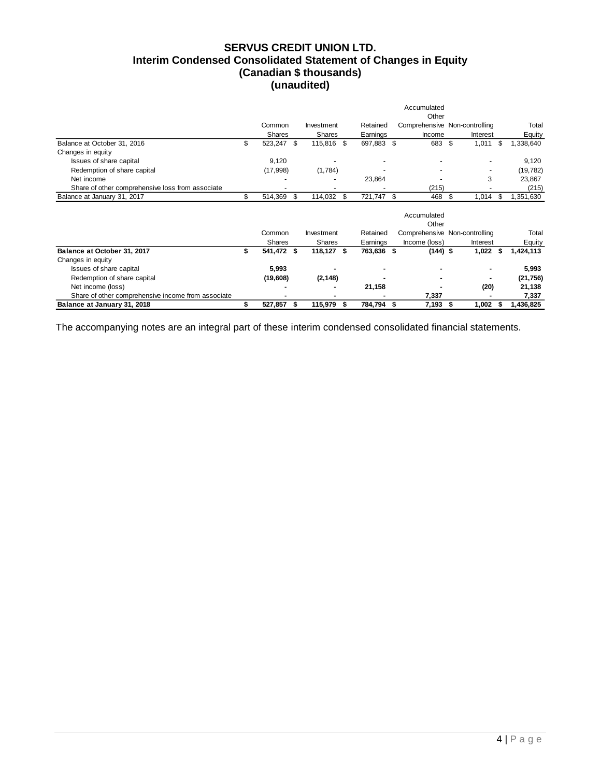# **SERVUS CREDIT UNION LTD. Interim Condensed Consolidated Statement of Changes in Equity (Canadian \$ thousands) (unaudited)**

|                                                    |                  |               |      |            | Accumulated          |                               |      |           |
|----------------------------------------------------|------------------|---------------|------|------------|----------------------|-------------------------------|------|-----------|
|                                                    |                  |               |      |            | Other                |                               |      |           |
|                                                    | Common           | Investment    |      | Retained   |                      | Comprehensive Non-controlling |      | Total     |
|                                                    | <b>Shares</b>    | <b>Shares</b> |      | Earnings   | Income               | Interest                      |      | Equity    |
| Balance at October 31, 2016                        | \$<br>523,247 \$ | 115,816 \$    |      | 697,883 \$ | 683                  | \$<br>1,011                   | - \$ | 1,338,640 |
| Changes in equity                                  |                  |               |      |            |                      |                               |      |           |
| Issues of share capital                            | 9,120            |               |      |            |                      |                               |      | 9,120     |
| Redemption of share capital                        | (17,998)         | (1,784)       |      |            |                      |                               |      | (19, 782) |
| Net income                                         |                  |               |      | 23,864     |                      | 3                             |      | 23,867    |
| Share of other comprehensive loss from associate   |                  |               |      |            | (215)                |                               |      | (215)     |
| Balance at January 31, 2017                        | \$<br>514,369    | \$<br>114,032 | - \$ | 721,747 \$ | 468                  | \$<br>1,014                   | - \$ | 1,351,630 |
|                                                    |                  |               |      |            | Accumulated<br>Other |                               |      |           |
|                                                    | Common           | Investment    |      | Retained   |                      | Comprehensive Non-controlling |      | Total     |
|                                                    | Shares           | <b>Shares</b> |      | Earnings   | Income (loss)        | Interest                      |      | Equity    |
| Balance at October 31, 2017                        | 541,472 \$       | 118,127 \$    |      | 763,636 \$ | $(144)$ \$           | $1,022$ \$                    |      | 1,424,113 |
| Changes in equity                                  |                  |               |      |            |                      |                               |      |           |
| Issues of share capital                            | 5,993            |               |      |            |                      |                               |      | 5,993     |
| Redemption of share capital                        | (19,608)         | (2, 148)      |      |            |                      |                               |      | (21, 756) |
| Net income (loss)                                  |                  |               |      | 21,158     |                      | (20)                          |      | 21,138    |
| Share of other comprehensive income from associate |                  |               |      |            | 7,337                |                               |      | 7,337     |
| Balance at January 31, 2018                        | 527,857          | \$<br>115,979 | S    | 784,794 \$ | 7,193                | 1,002<br>\$                   |      | 1,436,825 |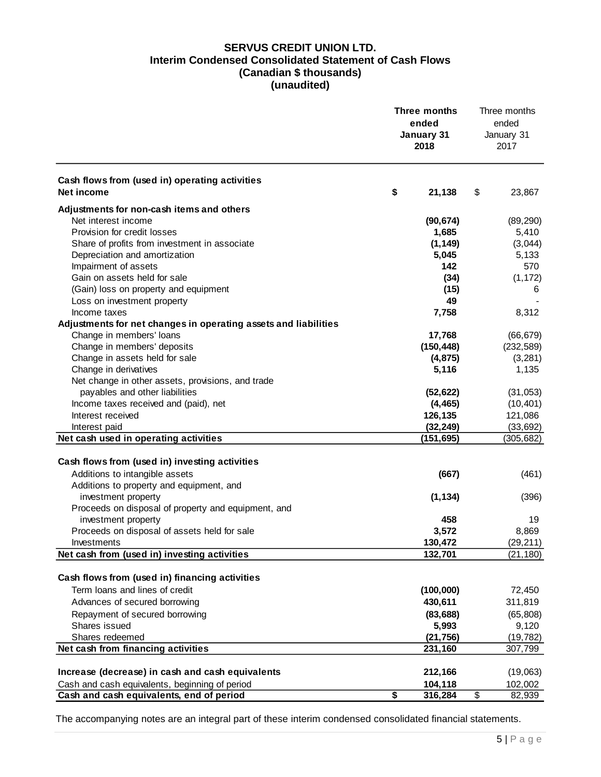# **SERVUS CREDIT UNION LTD. Interim Condensed Consolidated Statement of Cash Flows (Canadian \$ thousands) (unaudited)**

|                                                                 | <b>Three months</b><br>ended<br>January 31<br>2018 |                 | Three months<br>ended<br>January 31<br>2017 |
|-----------------------------------------------------------------|----------------------------------------------------|-----------------|---------------------------------------------|
| Cash flows from (used in) operating activities<br>Net income    | \$<br>21,138                                       | \$              | 23,867                                      |
| Adjustments for non-cash items and others                       |                                                    |                 |                                             |
| Net interest income                                             | (90, 674)                                          |                 | (89, 290)                                   |
| Provision for credit losses                                     | 1,685                                              |                 | 5,410                                       |
| Share of profits from investment in associate                   | (1, 149)                                           |                 | (3,044)                                     |
| Depreciation and amortization                                   | 5,045                                              |                 | 5,133                                       |
| Impairment of assets                                            | 142                                                |                 | 570                                         |
| Gain on assets held for sale                                    | (34)                                               |                 | (1, 172)                                    |
| (Gain) loss on property and equipment                           | (15)                                               |                 | 6                                           |
| Loss on investment property                                     | 49                                                 |                 |                                             |
| Income taxes                                                    | 7,758                                              |                 | 8,312                                       |
| Adjustments for net changes in operating assets and liabilities |                                                    |                 |                                             |
| Change in members' loans                                        | 17,768                                             |                 | (66, 679)                                   |
| Change in members' deposits                                     | (150, 448)                                         |                 | (232, 589)                                  |
| Change in assets held for sale                                  | (4, 875)                                           |                 | (3,281)                                     |
| Change in derivatives                                           | 5,116                                              |                 | 1,135                                       |
| Net change in other assets, provisions, and trade               |                                                    |                 |                                             |
| payables and other liabilities                                  | (52, 622)                                          |                 | (31, 053)                                   |
| Income taxes received and (paid), net                           | (4, 465)                                           |                 | (10, 401)                                   |
| Interest received                                               | 126,135                                            |                 | 121,086                                     |
| Interest paid                                                   | (32, 249)                                          |                 | (33, 692)                                   |
| Net cash used in operating activities                           | (151, 695)                                         |                 | (305, 682)                                  |
|                                                                 |                                                    |                 |                                             |
| Cash flows from (used in) investing activities                  |                                                    |                 |                                             |
| Additions to intangible assets                                  | (667)                                              |                 | (461)                                       |
| Additions to property and equipment, and                        |                                                    |                 |                                             |
| investment property                                             | (1, 134)                                           |                 | (396)                                       |
| Proceeds on disposal of property and equipment, and             |                                                    |                 |                                             |
| investment property                                             | 458                                                |                 | 19                                          |
| Proceeds on disposal of assets held for sale                    | 3,572<br>130,472                                   |                 | 8,869                                       |
| Investments<br>Net cash from (used in) investing activities     | 132,701                                            |                 | (29, 211)<br>(21, 180)                      |
|                                                                 |                                                    |                 |                                             |
| Cash flows from (used in) financing activities                  |                                                    |                 |                                             |
| Term loans and lines of credit                                  | (100,000)                                          |                 | 72,450                                      |
| Advances of secured borrowing                                   | 430,611                                            |                 | 311,819                                     |
| Repayment of secured borrowing                                  | (83, 688)                                          |                 | (65, 808)                                   |
| Shares issued                                                   | 5,993                                              |                 | 9,120                                       |
| Shares redeemed                                                 | (21, 756)                                          |                 | (19, 782)                                   |
| Net cash from financing activities                              | 231,160                                            |                 | 307,799                                     |
|                                                                 |                                                    |                 |                                             |
| Increase (decrease) in cash and cash equivalents                | 212,166                                            |                 | (19,063)                                    |
| Cash and cash equivalents, beginning of period                  | 104,118                                            |                 | 102,002                                     |
| Cash and cash equivalents, end of period                        | \$<br>316,284                                      | $\overline{\$}$ | 82,939                                      |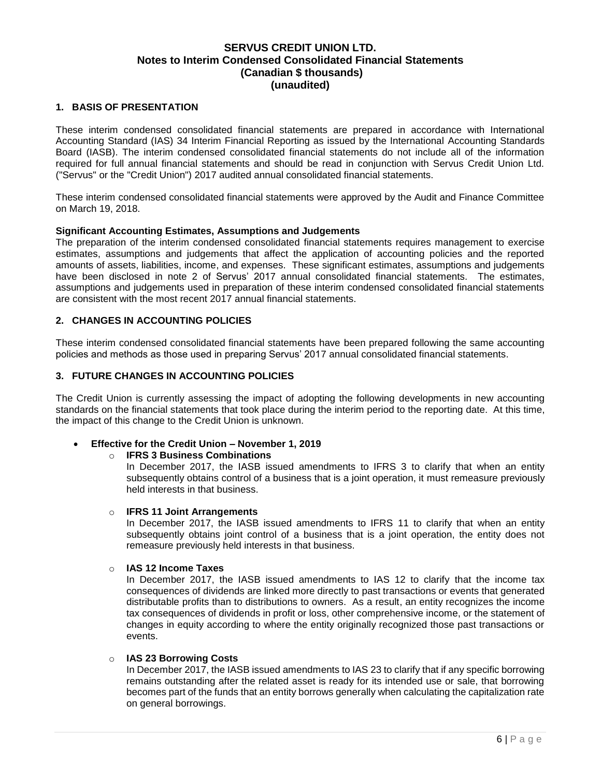### <span id="page-6-0"></span>**1. BASIS OF PRESENTATION**

These interim condensed consolidated financial statements are prepared in accordance with International Accounting Standard (IAS) 34 Interim Financial Reporting as issued by the International Accounting Standards Board (IASB). The interim condensed consolidated financial statements do not include all of the information required for full annual financial statements and should be read in conjunction with Servus Credit Union Ltd. ("Servus" or the "Credit Union") 2017 audited annual consolidated financial statements.

These interim condensed consolidated financial statements were approved by the Audit and Finance Committee on March 19, 2018.

### **Significant Accounting Estimates, Assumptions and Judgements**

The preparation of the interim condensed consolidated financial statements requires management to exercise estimates, assumptions and judgements that affect the application of accounting policies and the reported amounts of assets, liabilities, income, and expenses. These significant estimates, assumptions and judgements have been disclosed in note 2 of Servus' 2017 annual consolidated financial statements. The estimates, assumptions and judgements used in preparation of these interim condensed consolidated financial statements are consistent with the most recent 2017 annual financial statements.

### <span id="page-6-1"></span>**2. CHANGES IN ACCOUNTING POLICIES**

These interim condensed consolidated financial statements have been prepared following the same accounting policies and methods as those used in preparing Servus' 2017 annual consolidated financial statements.

#### <span id="page-6-2"></span>**3. FUTURE CHANGES IN ACCOUNTING POLICIES**

The Credit Union is currently assessing the impact of adopting the following developments in new accounting standards on the financial statements that took place during the interim period to the reporting date. At this time, the impact of this change to the Credit Union is unknown.

**Effective for the Credit Union – November 1, 2019**

#### o **IFRS 3 Business Combinations**

In December 2017, the IASB issued amendments to IFRS 3 to clarify that when an entity subsequently obtains control of a business that is a joint operation, it must remeasure previously held interests in that business.

#### o **IFRS 11 Joint Arrangements**

In December 2017, the IASB issued amendments to IFRS 11 to clarify that when an entity subsequently obtains joint control of a business that is a joint operation, the entity does not remeasure previously held interests in that business.

#### o **IAS 12 Income Taxes**

In December 2017, the IASB issued amendments to IAS 12 to clarify that the income tax consequences of dividends are linked more directly to past transactions or events that generated distributable profits than to distributions to owners. As a result, an entity recognizes the income tax consequences of dividends in profit or loss, other comprehensive income, or the statement of changes in equity according to where the entity originally recognized those past transactions or events.

### o **IAS 23 Borrowing Costs**

In December 2017, the IASB issued amendments to IAS 23 to clarify that if any specific borrowing remains outstanding after the related asset is ready for its intended use or sale, that borrowing becomes part of the funds that an entity borrows generally when calculating the capitalization rate on general borrowings.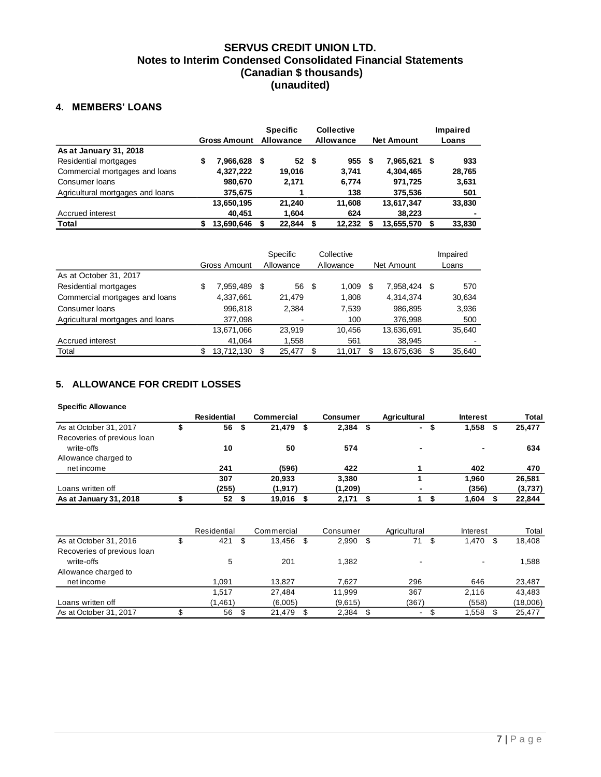### <span id="page-7-0"></span>**4. MEMBERS' LOANS**

|                                  |                     |      | <b>Specific</b> | <b>Collective</b> |   |                   |      | Impaired |  |
|----------------------------------|---------------------|------|-----------------|-------------------|---|-------------------|------|----------|--|
|                                  | <b>Gross Amount</b> |      | Allowance       | Allowance         |   | <b>Net Amount</b> |      | Loans    |  |
| As at January 31, 2018           |                     |      |                 |                   |   |                   |      |          |  |
| Residential mortgages            | \$<br>7,966,628     | - \$ | 52              | \$<br>955         | S | 7,965,621         | - \$ | 933      |  |
| Commercial mortgages and loans   | 4,327,222           |      | 19.016          | 3.741             |   | 4,304,465         |      | 28,765   |  |
| Consumer Ioans                   | 980.670             |      | 2.171           | 6.774             |   | 971,725           |      | 3,631    |  |
| Agricultural mortgages and loans | 375,675             |      |                 | 138               |   | 375,536           |      | 501      |  |
|                                  | 13,650,195          |      | 21.240          | 11,608            |   | 13,617,347        |      | 33,830   |  |
| Accrued interest                 | 40,451              |      | 1,604           | 624               |   | 38,223            |      |          |  |
| Total                            | 13,690,646          |      | 22,844          | 12.232            |   | 13,655,570        | S    | 33,830   |  |

|                                  | Gross Amount |            |     | Specific<br>Allowance |      | Collective<br>Allowance |   | Net Amount |     | Impaired<br>Loans |  |
|----------------------------------|--------------|------------|-----|-----------------------|------|-------------------------|---|------------|-----|-------------------|--|
| As at October 31, 2017           |              |            |     |                       |      |                         |   |            |     |                   |  |
| Residential mortgages            | \$           | 7.959.489  | \$  | 56                    | - \$ | 1,009                   | S | 7.958.424  | S   | 570               |  |
| Commercial mortgages and loans   |              | 4,337,661  |     | 21,479                |      | 1,808                   |   | 4,314,374  |     | 30,634            |  |
| Consumer Ioans                   |              | 996,818    |     | 2,384                 |      | 7,539                   |   | 986,895    |     | 3,936             |  |
| Agricultural mortgages and loans |              | 377,098    |     | $\blacksquare$        |      | 100                     |   | 376.998    |     | 500               |  |
|                                  |              | 13,671,066 |     | 23.919                |      | 10.456                  |   | 13,636,691 |     | 35,640            |  |
| Accrued interest                 |              | 41,064     |     | 1,558                 |      | 561                     |   | 38,945     |     |                   |  |
| Total                            |              | 13,712,130 | \$. | 25.477                |      | 11.017                  |   | 13,675,636 | \$. | 35,640            |  |

### <span id="page-7-1"></span>**5. ALLOWANCE FOR CREDIT LOSSES**

#### **Specific Allowance**

|                             | <b>Residential</b> | Commercial | <b>Consumer</b> |      | Agricultural             | <b>Interest</b> | <b>Total</b> |
|-----------------------------|--------------------|------------|-----------------|------|--------------------------|-----------------|--------------|
| As at October 31, 2017      | 56<br>- \$         | 21,479     | 2,384           | - \$ | $\sim$                   | 1,558           | 25,477       |
| Recoveries of previous loan |                    |            |                 |      |                          |                 |              |
| write-offs                  | 10                 | 50         | 574             |      | $\overline{\phantom{0}}$ |                 | 634          |
| Allowance charged to        |                    |            |                 |      |                          |                 |              |
| net income                  | 241                | (596)      | 422             |      |                          | 402             | 470          |
|                             | 307                | 20.933     | 3.380           |      |                          | 1.960           | 26,581       |
| Loans written off           | (255)              | (1, 917)   | (1,209)         |      | $\overline{\phantom{0}}$ | (356)           | (3,737)      |
| As at January 31, 2018      | 52                 | 19,016     | 2.171           |      |                          | 1,604           | 22,844       |

|                             | Residential | Commercial | Consumer    |      | Agricultural | Interest    |                          | Total    |
|-----------------------------|-------------|------------|-------------|------|--------------|-------------|--------------------------|----------|
| As at October 31, 2016      | 421<br>\$   | 13,456     | \$<br>2,990 | - \$ | 71           | 1.470<br>\$ |                          | 18.408   |
| Recoveries of previous loan |             |            |             |      |              |             |                          |          |
| write-offs                  | 5           | 201        | 1.382       |      |              |             | $\overline{\phantom{a}}$ | 1.588    |
| Allowance charged to        |             |            |             |      |              |             |                          |          |
| net income                  | 1.091       | 13.827     | 7.627       |      | 296          | 646         |                          | 23,487   |
|                             | 1,517       | 27.484     | 11.999      |      | 367          | 2,116       |                          | 43.483   |
| Loans written off           | (1, 461)    | (6,005)    | (9,615)     |      | (367)        | (558)       |                          | (18,006) |
| As at October 31, 2017      | 56          | 21.479     | 2,384       |      | -            | 1,558       |                          | 25,477   |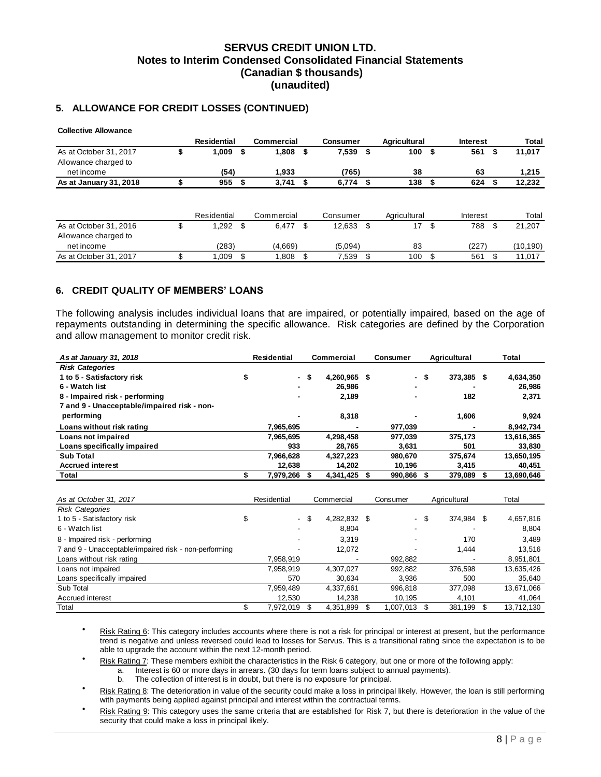# **5. ALLOWANCE FOR CREDIT LOSSES (CONTINUED)**

| <b>Collective Allowance</b> |   |                    |      |            |                 |      |              |     |                 |   |           |
|-----------------------------|---|--------------------|------|------------|-----------------|------|--------------|-----|-----------------|---|-----------|
|                             |   | <b>Residential</b> |      | Commercial | <b>Consumer</b> |      | Agricultural |     | <b>Interest</b> |   | Total     |
| As at October 31, 2017      | J | 1,009              | - \$ | $1,808$ \$ | 7,539           | - \$ | 100          | \$  | 561             | ъ | 11,017    |
| Allowance charged to        |   |                    |      |            |                 |      |              |     |                 |   |           |
| net income                  |   | (54)               |      | 1.933      | (765)           |      | 38           |     | 63              |   | 1,215     |
| As at January 31, 2018      |   | 955                | S    | 3,741      | $6,774$ \$      |      | 138          |     | 624             |   | 12,232    |
|                             |   | Residential        |      | Commercial | Consumer        |      | Agricultural |     | Interest        |   | Total     |
| As at October 31, 2016      | S | 1,292              | - \$ | 6,477      | \$<br>12,633    | - \$ | 17           | \$  | 788             | S | 21,207    |
| Allowance charged to        |   |                    |      |            |                 |      |              |     |                 |   |           |
| net income                  |   | (283)              |      | (4,669)    | (5.094)         |      | 83           |     | (227)           |   | (10, 190) |
| As at October 31, 2017      |   | 1.009              | \$.  | 1,808      | \$<br>7,539     | - \$ | 100          | \$. | 561             |   | 11,017    |

### <span id="page-8-0"></span>**6. CREDIT QUALITY OF MEMBERS' LOANS**

The following analysis includes individual loans that are impaired, or potentially impaired, based on the age of repayments outstanding in determining the specific allowance. Risk categories are defined by the Corporation and allow management to monitor credit risk.

| As at January 31, 2018                                | Residential     |    | Commercial   | Consumer   | Agricultural     | Total      |
|-------------------------------------------------------|-----------------|----|--------------|------------|------------------|------------|
| <b>Risk Categories</b>                                |                 |    |              |            |                  |            |
| 1 to 5 - Satisfactory risk                            | \$<br>۰.        | \$ | 4,260,965 \$ | $\sim$     | \$<br>373,385 \$ | 4,634,350  |
| 6 - Watch list                                        |                 |    | 26,986       |            |                  | 26,986     |
| 8 - Impaired risk - performing                        |                 |    | 2,189        |            | 182              | 2,371      |
| 7 and 9 - Unacceptable/impaired risk - non-           |                 |    |              |            |                  |            |
| performing                                            |                 |    | 8,318        |            | 1,606            | 9,924      |
| Loans without risk rating                             | 7,965,695       |    |              | 977,039    |                  | 8,942,734  |
| Loans not impaired                                    | 7,965,695       |    | 4,298,458    | 977,039    | 375,173          | 13,616,365 |
| Loans specifically impaired                           | 933             |    | 28,765       | 3,631      | 501              | 33,830     |
| <b>Sub Total</b>                                      | 7,966,628       |    | 4,327,223    | 980,670    | 375,674          | 13,650,195 |
| <b>Accrued interest</b>                               | 12,638          |    | 14,202       | 10,196     | 3,415            | 40,451     |
| Total                                                 | \$<br>7,979,266 | s. | 4,341,425 \$ | 990,866 \$ | 379,089 \$       | 13,690,646 |
|                                                       |                 |    |              |            |                  |            |
|                                                       |                 |    |              |            |                  |            |
| As at October 31, 2017                                | Residential     |    | Commercial   | Consumer   | Agricultural     | Total      |
| <b>Risk Categories</b>                                |                 |    |              |            |                  |            |
| 1 to 5 - Satisfactory risk                            | \$<br>$\sim$    | \$ | 4,282,832 \$ | $\sim$     | \$<br>374,984 \$ | 4,657,816  |
| 6 - Watch list                                        |                 |    | 8,804        |            |                  | 8,804      |
| 8 - Impaired risk - performing                        |                 |    | 3,319        |            | 170              | 3,489      |
| 7 and 9 - Unacceptable/impaired risk - non-performing |                 |    | 12,072       |            | 1,444            | 13,516     |
| Loans without risk rating                             | 7,958,919       |    |              | 992,882    |                  | 8,951,801  |
| Loans not impaired                                    | 7,958,919       |    | 4,307,027    | 992,882    | 376,598          | 13,635,426 |
| Loans specifically impaired                           | 570             |    | 30,634       | 3,936      | 500              | 35,640     |
| Sub Total                                             | 7,959,489       |    | 4.337.661    | 996,818    | 377.098          | 13,671,066 |
| Accrued interest                                      | 12,530          |    | 14,238       | 10,195     | 4,101            | 41,064     |

- Risk Rating 6: This category includes accounts where there is not a risk for principal or interest at present, but the performance trend is negative and unless reversed could lead to losses for Servus. This is a transitional rating since the expectation is to be able to upgrade the account within the next 12-month period.
	- Risk Rating 7: These members exhibit the characteristics in the Risk 6 category, but one or more of the following apply:
		- a. Interest is 60 or more days in arrears. (30 days for term loans subject to annual payments).
		- b. The collection of interest is in doubt, but there is no exposure for principal.
- Risk Rating 8: The deterioration in value of the security could make a loss in principal likely. However, the loan is still performing with payments being applied against principal and interest within the contractual terms.
- Risk Rating 9: This category uses the same criteria that are established for Risk 7, but there is deterioration in the value of the security that could make a loss in principal likely.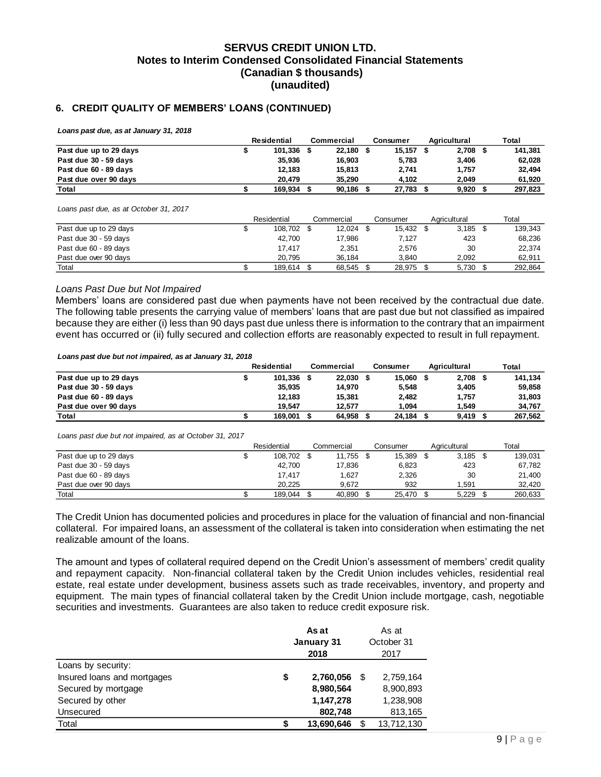### <span id="page-9-0"></span>**6. CREDIT QUALITY OF MEMBERS' LOANS (CONTINUED)**

*Loans past due, as at January 31, 2018*

|                        | Residential | Commercial | Consumer | Agricultural | Total   |
|------------------------|-------------|------------|----------|--------------|---------|
| Past due up to 29 days | 101,336     | 22.180     | 15.157   | 2,708        | 141,381 |
| Past due 30 - 59 days  | 35.936      | 16.903     | 5.783    | 3,406        | 62,028  |
| Past due 60 - 89 days  | 12.183      | 15,813     | 2.741    | 1.757        | 32.494  |
| Past due over 90 days  | 20.479      | 35.290     | 4.102    | 2.049        | 61.920  |
| Total                  | 169.934     | 90,186     | 27,783   | 9,920        | 297.823 |

*Loans past due, as at October 31, 2017*

|                        | Residential | Commercial | Consumer  | Agricultural | Total   |
|------------------------|-------------|------------|-----------|--------------|---------|
| Past due up to 29 days | 108.702 \$  | 12.024     | 15.432 \$ | 3.185        | 139.343 |
| Past due 30 - 59 days  | 42.700      | 17,986     | 7,127     | 423          | 68,236  |
| Past due 60 - 89 days  | 17.417      | 2.351      | 2.576     | 30           | 22.374  |
| Past due over 90 days  | 20.795      | 36.184     | 3.840     | 2.092        | 62,911  |
| Total                  | 189.614     | 68.545     | 28.975    | 5.730        | 292.864 |

#### *Loans Past Due but Not Impaired*

Members' loans are considered past due when payments have not been received by the contractual due date. The following table presents the carrying value of members' loans that are past due but not classified as impaired because they are either (i) less than 90 days past due unless there is information to the contrary that an impairment event has occurred or (ii) fully secured and collection efforts are reasonably expected to result in full repayment.

#### *Loans past due but not impaired, as at January 31, 2018*

|                        | Residential | Commercial | Consumer | Agricultural | <b>Total</b> |
|------------------------|-------------|------------|----------|--------------|--------------|
| Past due up to 29 days | 101.336     | 22.030     | 15.060   | 2,708        | 141.134      |
| Past due 30 - 59 days  | 35.935      | 14.970     | 5.548    | 3,405        | 59.858       |
| Past due 60 - 89 days  | 12.183      | 15.381     | 2,482    | 1.757        | 31,803       |
| Past due over 90 days  | 19.547      | 12.577     | 1.094    | 1.549        | 34.767       |
| Total                  | 169.001     | 64.958     | 24,184   | 9,419        | 267.562      |

*Loans past due but not impaired, as at October 31, 2017*

|                        | Residential | Commercial | Consumer | Agricultural | Total   |
|------------------------|-------------|------------|----------|--------------|---------|
| Past due up to 29 days | 108.702     | 11.755     | 15,389   | 3.185        | 139.031 |
| Past due 30 - 59 days  | 42.700      | 17.836     | 6,823    | 423          | 67,782  |
| Past due 60 - 89 days  | 17,417      | 1.627      | 2,326    | 30           | 21.400  |
| Past due over 90 days  | 20.225      | 9.672      | 932      | .591         | 32.420  |
| Total                  | 189.044     | 40.890     | 25.470   | 5.229        | 260.633 |

The Credit Union has documented policies and procedures in place for the valuation of financial and non-financial collateral. For impaired loans, an assessment of the collateral is taken into consideration when estimating the net realizable amount of the loans.

The amount and types of collateral required depend on the Credit Union's assessment of members' credit quality and repayment capacity. Non-financial collateral taken by the Credit Union includes vehicles, residential real estate, real estate under development, business assets such as trade receivables, inventory, and property and equipment. The main types of financial collateral taken by the Credit Union include mortgage, cash, negotiable securities and investments. Guarantees are also taken to reduce credit exposure risk.

|                             |    | As at<br>January 31<br>2018 | As at<br>October 31<br>2017 |            |  |  |
|-----------------------------|----|-----------------------------|-----------------------------|------------|--|--|
| Loans by security:          |    |                             |                             |            |  |  |
| Insured loans and mortgages | \$ | 2,760,056                   | S                           | 2,759,164  |  |  |
| Secured by mortgage         |    | 8,980,564                   |                             | 8,900,893  |  |  |
| Secured by other            |    | 1,147,278                   |                             | 1,238,908  |  |  |
| Unsecured                   |    | 802,748                     |                             | 813,165    |  |  |
| Total                       | S  | 13,690,646                  |                             | 13,712,130 |  |  |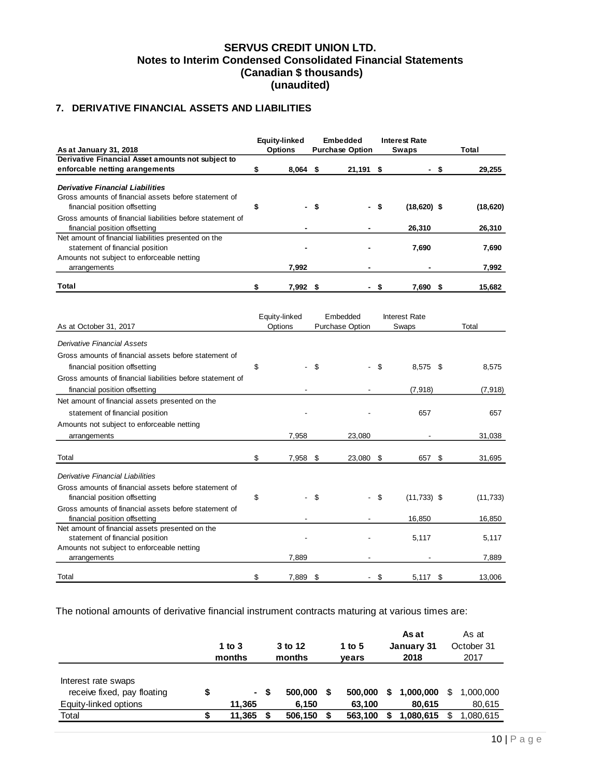# <span id="page-10-0"></span>**7. DERIVATIVE FINANCIAL ASSETS AND LIABILITIES**

| As at January 31, 2018                                     | Equity-linked<br><b>Options</b> | <b>Embedded</b><br><b>Purchase Option</b> | <b>Interest Rate</b><br><b>Swaps</b> |     | <b>Total</b> |
|------------------------------------------------------------|---------------------------------|-------------------------------------------|--------------------------------------|-----|--------------|
| Derivative Financial Asset amounts not subject to          |                                 |                                           |                                      |     |              |
| enforcable netting arangements                             | \$<br>$8,064$ \$                | 21,191 \$                                 |                                      | -\$ | 29,255       |
| <b>Derivative Financial Liabilities</b>                    |                                 |                                           |                                      |     |              |
| Gross amounts of financial assets before statement of      |                                 |                                           |                                      |     |              |
| financial position offsetting                              | \$                              | \$                                        | \$<br>$(18,620)$ \$                  |     | (18, 620)    |
| Gross amounts of financial liabilities before statement of |                                 |                                           |                                      |     |              |
| financial position offsetting                              |                                 |                                           | 26,310                               |     | 26,310       |
| Net amount of financial liabilities presented on the       |                                 |                                           |                                      |     |              |
| statement of financial position                            |                                 |                                           | 7,690                                |     | 7,690        |
| Amounts not subject to enforceable netting                 |                                 |                                           |                                      |     |              |
| arrangements                                               | 7,992                           |                                           |                                      |     | 7,992        |
|                                                            |                                 |                                           |                                      |     |              |
| Total                                                      | \$<br>7,992 \$                  |                                           | \$<br>7,690 \$                       |     | 15,682       |
|                                                            | Equity-linked                   | Embedded                                  | <b>Interest Rate</b>                 |     |              |
| As at October 31, 2017                                     | Options                         | <b>Purchase Option</b>                    | Swaps                                |     | Total        |
|                                                            |                                 |                                           |                                      |     |              |
| <b>Derivative Financial Assets</b>                         |                                 |                                           |                                      |     |              |
| Gross amounts of financial assets before statement of      |                                 |                                           |                                      |     |              |
| financial position offsetting                              | \$                              | \$                                        | \$<br>8,575 \$                       |     | 8,575        |
| Gross amounts of financial liabilities before statement of |                                 |                                           |                                      |     |              |
| financial position offsetting                              |                                 |                                           | (7, 918)                             |     | (7, 918)     |
| Net amount of financial assets presented on the            |                                 |                                           |                                      |     |              |
|                                                            |                                 |                                           | 657                                  |     | 657          |
| statement of financial position                            |                                 |                                           |                                      |     |              |
| Amounts not subject to enforceable netting                 |                                 |                                           |                                      |     |              |
| arrangements                                               | 7,958                           | 23,080                                    |                                      |     | 31,038       |
| Total                                                      | \$<br>7,958                     | \$<br>23,080                              | \$<br>657                            | \$  | 31,695       |
| Derivative Financial Liabilities                           |                                 |                                           |                                      |     |              |
|                                                            |                                 |                                           |                                      |     |              |
| Gross amounts of financial assets before statement of      |                                 |                                           |                                      |     |              |
| financial position offsetting                              | \$                              | \$                                        | \$<br>$(11,733)$ \$                  |     | (11, 733)    |
| Gross amounts of financial assets before statement of      |                                 |                                           |                                      |     |              |
| financial position offsetting                              |                                 |                                           | 16,850                               |     | 16,850       |
| Net amount of financial assets presented on the            |                                 |                                           |                                      |     |              |
| statement of financial position                            |                                 |                                           | 5,117                                |     | 5,117        |
| Amounts not subject to enforceable netting                 | 7.889                           |                                           |                                      |     |              |
| arrangements                                               |                                 |                                           |                                      |     | 7,889        |
| Total                                                      | \$<br>7,889                     | \$                                        | \$<br>5.117                          | \$  | 13.006       |

The notional amounts of derivative financial instrument contracts maturing at various times are:

|                                                                                      | 1 to $3$<br>months               |   | 3 to 12<br>months           | 1 to 5<br>vears |                              |   | As at<br>January 31<br>2018     | As at<br>October 31<br>2017 |                                 |  |
|--------------------------------------------------------------------------------------|----------------------------------|---|-----------------------------|-----------------|------------------------------|---|---------------------------------|-----------------------------|---------------------------------|--|
| Interest rate swaps<br>receive fixed, pay floating<br>Equity-linked options<br>Total | \$<br>$\sim$<br>11.365<br>11,365 | S | 500,000<br>6.150<br>506,150 |                 | 500,000<br>63,100<br>563,100 | S | 1,000,000<br>80.615<br>.080.615 | S                           | 1,000,000<br>80,615<br>.080.615 |  |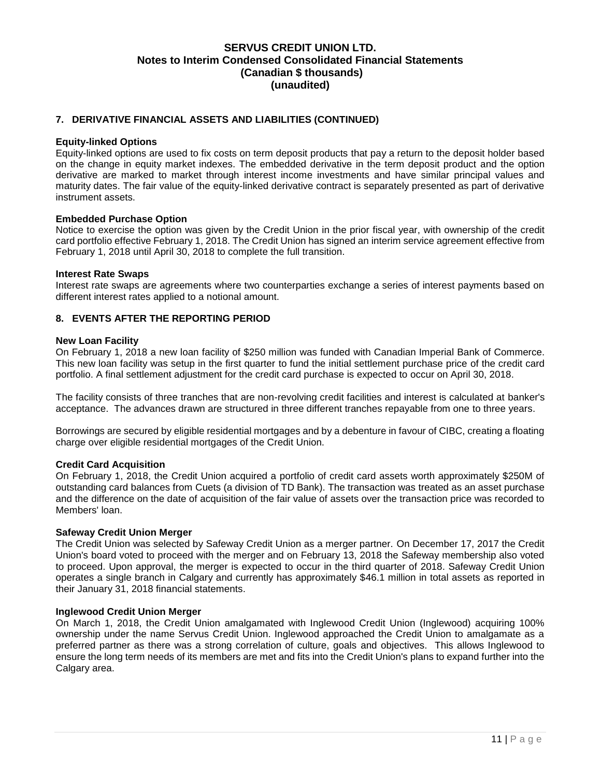### **7. DERIVATIVE FINANCIAL ASSETS AND LIABILITIES (CONTINUED)**

#### **Equity-linked Options**

Equity-linked options are used to fix costs on term deposit products that pay a return to the deposit holder based on the change in equity market indexes. The embedded derivative in the term deposit product and the option derivative are marked to market through interest income investments and have similar principal values and maturity dates. The fair value of the equity-linked derivative contract is separately presented as part of derivative instrument assets.

#### **Embedded Purchase Option**

Notice to exercise the option was given by the Credit Union in the prior fiscal year, with ownership of the credit card portfolio effective February 1, 2018. The Credit Union has signed an interim service agreement effective from February 1, 2018 until April 30, 2018 to complete the full transition.

#### **Interest Rate Swaps**

Interest rate swaps are agreements where two counterparties exchange a series of interest payments based on different interest rates applied to a notional amount.

### <span id="page-11-0"></span>**8. EVENTS AFTER THE REPORTING PERIOD**

#### **New Loan Facility**

On February 1, 2018 a new loan facility of \$250 million was funded with Canadian Imperial Bank of Commerce. This new loan facility was setup in the first quarter to fund the initial settlement purchase price of the credit card portfolio. A final settlement adjustment for the credit card purchase is expected to occur on April 30, 2018.

The facility consists of three tranches that are non-revolving credit facilities and interest is calculated at banker's acceptance. The advances drawn are structured in three different tranches repayable from one to three years.

Borrowings are secured by eligible residential mortgages and by a debenture in favour of CIBC, creating a floating charge over eligible residential mortgages of the Credit Union.

#### **Credit Card Acquisition**

On February 1, 2018, the Credit Union acquired a portfolio of credit card assets worth approximately \$250M of outstanding card balances from Cuets (a division of TD Bank). The transaction was treated as an asset purchase and the difference on the date of acquisition of the fair value of assets over the transaction price was recorded to Members' loan.

#### **Safeway Credit Union Merger**

The Credit Union was selected by Safeway Credit Union as a merger partner. On December 17, 2017 the Credit Union's board voted to proceed with the merger and on February 13, 2018 the Safeway membership also voted to proceed. Upon approval, the merger is expected to occur in the third quarter of 2018. Safeway Credit Union operates a single branch in Calgary and currently has approximately \$46.1 million in total assets as reported in their January 31, 2018 financial statements.

#### **Inglewood Credit Union Merger**

On March 1, 2018, the Credit Union amalgamated with Inglewood Credit Union (Inglewood) acquiring 100% ownership under the name Servus Credit Union. Inglewood approached the Credit Union to amalgamate as a preferred partner as there was a strong correlation of culture, goals and objectives. This allows Inglewood to ensure the long term needs of its members are met and fits into the Credit Union's plans to expand further into the Calgary area.